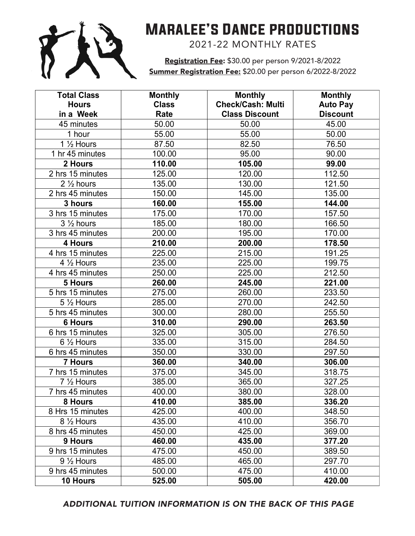

## Maralee's Dance productions

**Marales** 2021-22 MONTHLY RATES

Registration Fee: \$30.00 per person 9/2021-8/2022 Summer Registration Fee: \$20.00 per person 6/2022-8/2022

| <b>Total Class</b>    | <b>Monthly</b> | <b>Monthly</b>           | <b>Monthly</b>  |
|-----------------------|----------------|--------------------------|-----------------|
| <b>Hours</b>          | <b>Class</b>   | <b>Check/Cash: Multi</b> | <b>Auto Pay</b> |
| in a Week             | Rate           | <b>Class Discount</b>    | <b>Discount</b> |
| 45 minutes            | 50.00          | 50.00                    | 45.00           |
| 1 hour                | 55.00          | 55.00                    | 50.00           |
| 1 1/2 Hours           | 87.50          | 82.50                    | 76.50           |
| 1 hr 45 minutes       | 100.00         | 95.00                    | 90.00           |
| 2 Hours               | 110.00         | 105.00                   | 99.00           |
| 2 hrs 15 minutes      | 125.00         | 120.00                   | 112.50          |
| $2\frac{1}{2}$ hours  | 135.00         | 130.00                   | 121.50          |
| 2 hrs 45 minutes      | 150.00         | 145.00                   | 135.00          |
| 3 hours               | 160.00         | 155.00                   | 144.00          |
| 3 hrs 15 minutes      | 175.00         | 170.00                   | 157.50          |
| $3\frac{1}{2}$ hours  | 185.00         | 180.00                   | 166.50          |
| 3 hrs 45 minutes      | 200.00         | 195.00                   | 170.00          |
| 4 Hours               | 210.00         | 200.00                   | 178.50          |
| 4 hrs 15 minutes      | 225.00         | 215.00                   | 191.25          |
| 4 $\frac{1}{2}$ Hours | 235.00         | 225.00                   | 199.75          |
| 4 hrs 45 minutes      | 250.00         | 225.00                   | 212.50          |
| 5 Hours               | 260.00         | 245.00                   | 221.00          |
| 5 hrs 15 minutes      | 275.00         | 260.00                   | 233.50          |
| 5 1/2 Hours           | 285.00         | 270.00                   | 242.50          |
| 5 hrs 45 minutes      | 300.00         | 280.00                   | 255.50          |
| <b>6 Hours</b>        | 310.00         | 290.00                   | 263.50          |
| 6 hrs 15 minutes      | 325.00         | 305.00                   | 276.50          |
| 6 1/2 Hours           | 335.00         | 315.00                   | 284.50          |
| 6 hrs 45 minutes      | 350.00         | 330.00                   | 297.50          |
| 7 Hours               | 360.00         | 340.00                   | 306.00          |
| 7 hrs 15 minutes      | 375.00         | 345.00                   | 318.75          |
| 7 1/2 Hours           | 385.00         | 365.00                   | 327.25          |
| 7 hrs 45 minutes      | 400.00         | 380.00                   | 328.00          |
| 8 Hours               | 410.00         | 385.00                   | 336.20          |
| 8 Hrs 15 minutes      | 425.00         | 400.00                   | 348.50          |
| $8\frac{1}{2}$ Hours  | 435.00         | 410.00                   | 356.70          |
| 8 hrs 45 minutes      | 450.00         | 425.00                   | 369.00          |
| 9 Hours               | 460.00         | 435.00                   | 377.20          |
| 9 hrs 15 minutes      | 475.00         | 450.00                   | 389.50          |
| $9\frac{1}{2}$ Hours  | 485.00         | 465.00                   | 297.70          |
| 9 hrs 45 minutes      | 500.00         | 475.00                   | 410.00          |
| 10 Hours              | 525.00         | 505.00                   | 420.00          |

ADDITIONAL TUITION INFORMATION IS ON THE BACK OF THIS PAGE